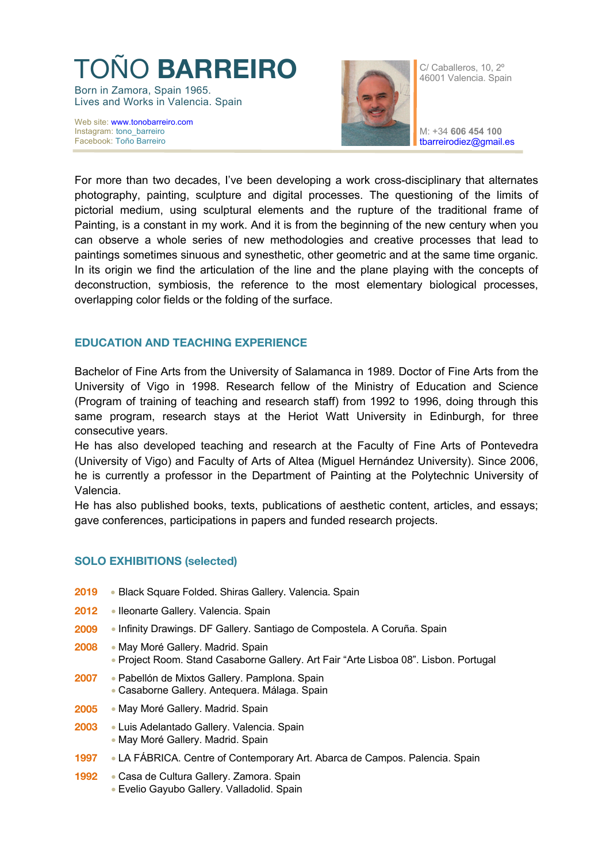**D BARREIRO** Born in Zamora, Spain 1965.

Lives and Works in Valencia. Spain



C/ Caballeros, 10, 2º 46001 Valencia. Spain

M: +34 **606 454 100** tbarreirodiez@gmail.es

For more than two decades, I've been developing a work cross-disciplinary that alternates photography, painting, sculpture and digital processes. The questioning of the limits of pictorial medium, using sculptural elements and the rupture of the traditional frame of Painting, is a constant in my work. And it is from the beginning of the new century when you can observe a whole series of new methodologies and creative processes that lead to paintings sometimes sinuous and synesthetic, other geometric and at the same time organic. In its origin we find the articulation of the line and the plane playing with the concepts of deconstruction, symbiosis, the reference to the most elementary biological processes, overlapping color fields or the folding of the surface.

# **EDUCATION AND TEACHING EXPERIENCE**

Bachelor of Fine Arts from the University of Salamanca in 1989. Doctor of Fine Arts from the University of Vigo in 1998. Research fellow of the Ministry of Education and Science (Program of training of teaching and research staff) from 1992 to 1996, doing through this same program, research stays at the Heriot Watt University in Edinburgh, for three consecutive years.

He has also developed teaching and research at the Faculty of Fine Arts of Pontevedra (University of Vigo) and Faculty of Arts of Altea (Miguel Hernández University). Since 2006, he is currently a professor in the Department of Painting at the Polytechnic University of Valencia.

He has also published books, texts, publications of aesthetic content, articles, and essays; gave conferences, participations in papers and funded research projects.

## **SOLO EXHIBITIONS (selected)**

- **2019** Black Square Folded. Shiras Gallery. Valencia. Spain
- **2012** Ileonarte Gallery. Valencia. Spain
- **2009** Infinity Drawings. DF Gallery. Santiago de Compostela. A Coruña. Spain
- **2008** May Moré Gallery. Madrid. Spain • Project Room. Stand Casaborne Gallery. Art Fair "Arte Lisboa 08". Lisbon. Portugal
- **2007**  Pabellón de Mixtos Gallery. Pamplona. Spain • Casaborne Gallery. Antequera. Málaga. Spain
- **2005** May Moré Gallery. Madrid. Spain
- **2003**  Luis Adelantado Gallery. Valencia. Spain • May Moré Gallery. Madrid. Spain
- **1997** LA FÁBRICA. Centre of Contemporary Art. Abarca de Campos. Palencia. Spain
- **1992**  Casa de Cultura Gallery. Zamora. Spain • Evelio Gayubo Gallery. Valladolid. Spain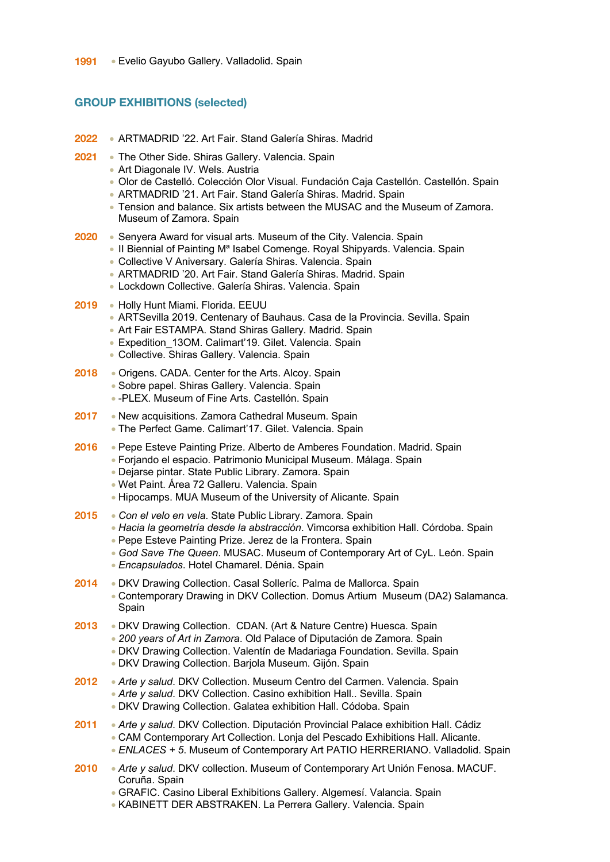#### **GROUP EXHIBITIONS (selected)**

- **2022** ARTMADRID '22. Art Fair. Stand Galería Shiras. Madrid
- **2021** The Other Side. Shiras Gallery. Valencia. Spain
	- Art Diagonale IV. Wels. Austria
	- Olor de Castelló. Colección Olor Visual. Fundación Caja Castellón. Castellón. Spain
	- ARTMADRID '21. Art Fair. Stand Galería Shiras. Madrid. Spain
	- Tension and balance. Six artists between the MUSAC and the Museum of Zamora. Museum of Zamora. Spain
- **2020** Senyera Award for visual arts. Museum of the City. Valencia. Spain
	- Il Biennial of Painting M<sup>a</sup> Isabel Comenge. Royal Shipyards. Valencia. Spain
	- Collective V Aniversary. Galería Shiras. Valencia. Spain
	- ARTMADRID '20. Art Fair. Stand Galería Shiras. Madrid. Spain
	- Lockdown Collective. Galería Shiras. Valencia. Spain
- **2019** Holly Hunt Miami. Florida. EEUU
	- ARTSevilla 2019. Centenary of Bauhaus. Casa de la Provincia. Sevilla. Spain • Art Fair ESTAMPA. Stand Shiras Gallery. Madrid. Spain
	- Expedition 13OM. Calimart'19. Gilet. Valencia. Spain
	- Collective. Shiras Gallery. Valencia. Spain
- **2018** Origens. CADA. Center for the Arts. Alcoy. Spain • Sobre papel. Shiras Gallery. Valencia. Spain • -PLEX. Museum of Fine Arts. Castellón. Spain
- **2017** New acquisitions. Zamora Cathedral Museum. Spain
	- The Perfect Game. Calimart'17. Gilet. Valencia. Spain
- **2016** Pepe Esteve Painting Prize. Alberto de Amberes Foundation. Madrid. Spain • Foriando el espacio. Patrimonio Municipal Museum. Málaga. Spain
	- Dejarse pintar. State Public Library. Zamora. Spain
	- Wet Paint. Área 72 Galleru. Valencia. Spain
	- Hipocamps. MUA Museum of the University of Alicante. Spain
- **2015** *Con el velo en vela*. State Public Library. Zamora. Spain • *Hacia la geometría desde la abstracción*. Vimcorsa exhibition Hall. Córdoba. Spain
	- Pepe Esteve Painting Prize. Jerez de la Frontera. Spain
	- *God Save The Queen*. MUSAC. Museum of Contemporary Art of CyL. León. Spain
	- *Encapsulados*. Hotel Chamarel. Dénia. Spain
- **2014** DKV Drawing Collection. Casal Solleríc. Palma de Mallorca. Spain • Contemporary Drawing in DKV Collection. Domus Artium Museum (DA2) Salamanca. Spain
- 2013 DKV Drawing Collection. CDAN. (Art & Nature Centre) Huesca. Spain • *200 years of Art in Zamora*. Old Palace of Diputación de Zamora. Spain • DKV Drawing Collection. Valentín de Madariaga Foundation. Sevilla. Spain • DKV Drawing Collection. Barjola Museum. Gijón. Spain
- **2012** *Arte y salud*. DKV Collection. Museum Centro del Carmen. Valencia. Spain • *Arte y salud*. DKV Collection. Casino exhibition Hall.. Sevilla. Spain • DKV Drawing Collection. Galatea exhibition Hall. Códoba. Spain
- **2011** *Arte y salud*. DKV Collection. Diputación Provincial Palace exhibition Hall. Cádiz • CAM Contemporary Art Collection. Lonja del Pescado Exhibitions Hall. Alicante. • *ENLACES + 5*. Museum of Contemporary Art PATIO HERRERIANO. Valladolid. Spain
- **2010** *Arte y salud*. DKV collection. Museum of Contemporary Art Unión Fenosa. MACUF. Coruña. Spain
	- GRAFIC. Casino Liberal Exhibitions Gallery. Algemesí. Valancia. Spain
	- KABINETT DER ABSTRAKEN. La Perrera Gallery. Valencia. Spain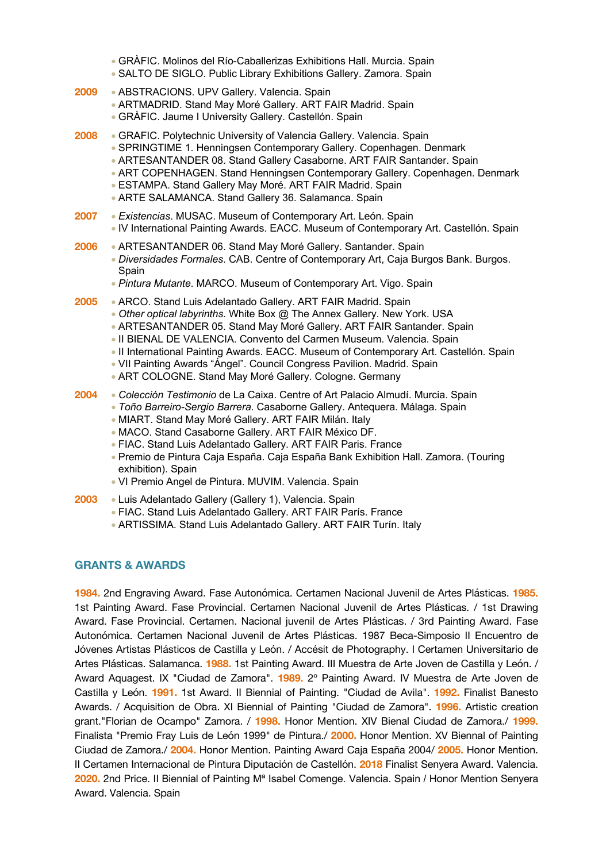|      | • GRÀFIC. Molinos del Río-Caballerizas Exhibitions Hall. Murcia. Spain<br>• SALTO DE SIGLO. Public Library Exhibitions Gallery. Zamora. Spain                                                                                                                                                                                                                                                                                                                                                                            |
|------|--------------------------------------------------------------------------------------------------------------------------------------------------------------------------------------------------------------------------------------------------------------------------------------------------------------------------------------------------------------------------------------------------------------------------------------------------------------------------------------------------------------------------|
| 2009 | • ABSTRACIONS. UPV Gallery. Valencia. Spain<br>• ARTMADRID. Stand May Moré Gallery. ART FAIR Madrid. Spain<br>• GRÀFIC. Jaume I University Gallery. Castellón. Spain                                                                                                                                                                                                                                                                                                                                                     |
| 2008 | • GRAFIC. Polytechnic University of Valencia Gallery. Valencia. Spain<br>• SPRINGTIME 1. Henningsen Contemporary Gallery. Copenhagen. Denmark<br>• ARTESANTANDER 08. Stand Gallery Casaborne. ART FAIR Santander. Spain<br>• ART COPENHAGEN. Stand Henningsen Contemporary Gallery. Copenhagen. Denmark<br>• ESTAMPA. Stand Gallery May Moré. ART FAIR Madrid. Spain<br>• ARTE SALAMANCA. Stand Gallery 36. Salamanca. Spain                                                                                             |
| 2007 | · Existencias. MUSAC. Museum of Contemporary Art. León. Spain<br>. IV International Painting Awards. EACC. Museum of Contemporary Art. Castellón. Spain                                                                                                                                                                                                                                                                                                                                                                  |
| 2006 | • ARTESANTANDER 06. Stand May Moré Gallery. Santander. Spain<br>. Diversidades Formales. CAB. Centre of Contemporary Art, Caja Burgos Bank. Burgos.<br>Spain<br>• Pintura Mutante. MARCO. Museum of Contemporary Art. Vigo. Spain                                                                                                                                                                                                                                                                                        |
| 2005 | • ARCO. Stand Luis Adelantado Gallery. ART FAIR Madrid. Spain<br>· Other optical labyrinths. White Box @ The Annex Gallery. New York. USA<br>• ARTESANTANDER 05. Stand May Moré Gallery. ART FAIR Santander. Spain<br>· Il BIENAL DE VALENCIA. Convento del Carmen Museum. Valencia. Spain<br>Il International Painting Awards. EACC. Museum of Contemporary Art. Castellón. Spain<br>• VII Painting Awards "Angel". Council Congress Pavilion. Madrid. Spain<br>• ART COLOGNE. Stand May Moré Gallery. Cologne. Germany |
| 2004 | • Colección Testimonio de La Caixa. Centre of Art Palacio Almudí. Murcia. Spain<br>· Toño Barreiro-Sergio Barrera. Casaborne Gallery. Antequera. Málaga. Spain<br>· MIART. Stand May Moré Gallery. ART FAIR Milán. Italy<br>· MACO. Stand Casaborne Gallery. ART FAIR México DF.<br>. FIAC. Stand Luis Adelantado Gallery. ART FAIR Paris. France<br>• Premio de Pintura Caja España. Caja España Bank Exhibition Hall. Zamora. (Touring<br>exhibition). Spain<br>· VI Premio Angel de Pintura. MUVIM. Valencia. Spain   |
|      |                                                                                                                                                                                                                                                                                                                                                                                                                                                                                                                          |

- **2003** Luis Adelantado Gallery (Gallery 1), Valencia. Spain
	- FIAC. Stand Luis Adelantado Gallery. ART FAIR París. France
	- ARTISSIMA. Stand Luis Adelantado Gallery. ART FAIR Turín. Italy

## **GRANTS & AWARDS**

**1984.** 2nd Engraving Award. Fase Autonómica. Certamen Nacional Juvenil de Artes Plásticas. **1985.** 1st Painting Award. Fase Provincial. Certamen Nacional Juvenil de Artes Plásticas. / 1st Drawing Award. Fase Provincial. Certamen. Nacional juvenil de Artes Plásticas. / 3rd Painting Award. Fase Autonómica. Certamen Nacional Juvenil de Artes Plásticas. 1987 Beca-Simposio II Encuentro de Jóvenes Artistas Plásticos de Castilla y León. / Accésit de Photography. I Certamen Universitario de Artes Plásticas. Salamanca. **1988.** 1st Painting Award. III Muestra de Arte Joven de Castilla y León. / Award Aquagest. IX "Ciudad de Zamora". **1989.** 2º Painting Award. IV Muestra de Arte Joven de Castilla y León. **1991.** 1st Award. II Biennial of Painting. "Ciudad de Avila". **1992.** Finalist Banesto Awards. / Acquisition de Obra. XI Biennial of Painting "Ciudad de Zamora". **1996.** Artistic creation grant."Florian de Ocampo" Zamora. / **1998.** Honor Mention. XIV Bienal Ciudad de Zamora./ **1999.** Finalista "Premio Fray Luis de León 1999" de Pintura./ **2000.** Honor Mention. XV Biennal of Painting Ciudad de Zamora./ **2004.** Honor Mention. Painting Award Caja España 2004/ **2005.** Honor Mention. II Certamen Internacional de Pintura Diputación de Castellón. **2018** Finalist Senyera Award. Valencia. **2020.** 2nd Price. II Biennial of Painting Mª Isabel Comenge. Valencia. Spain / Honor Mention Senyera Award. Valencia. Spain